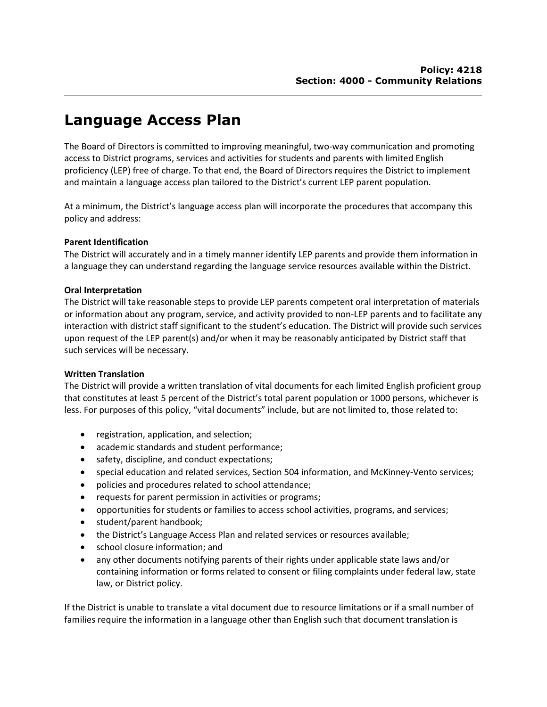# Language Access Plan

The Board of Directors is committed to improving meaningful, two-way communication and promoting access to District programs, services and activities for students and parents with limited English proficiency (LEP) free of charge. To that end, the Board of Directors requires the District to implement and maintain a language access plan tailored to the District's current LEP parent population.

At a minimum, the District's language access plan will incorporate the procedures that accompany this policy and address:

## Parent Identification

The District will accurately and in a timely manner identify LEP parents and provide them information in a language they can understand regarding the language service resources available within the District.

## Oral Interpretation

The District will take reasonable steps to provide LEP parents competent oral interpretation of materials or information about any program, service, and activity provided to non-LEP parents and to facilitate any interaction with district staff significant to the student's education. The District will provide such services upon request of the LEP parent(s) and/or when it may be reasonably anticipated by District staff that such services will be necessary.

## Written Translation

The District will provide a written translation of vital documents for each limited English proficient group that constitutes at least 5 percent of the District's total parent population or 1000 persons, whichever is less. For purposes of this policy, "vital documents" include, but are not limited to, those related to:

- registration, application, and selection;
- academic standards and student performance;
- safety, discipline, and conduct expectations;
- special education and related services, Section 504 information, and McKinney-Vento services;
- policies and procedures related to school attendance;
- requests for parent permission in activities or programs;
- opportunities for students or families to access school activities, programs, and services;
- student/parent handbook;
- the District's Language Access Plan and related services or resources available;
- school closure information; and
- any other documents notifying parents of their rights under applicable state laws and/or containing information or forms related to consent or filing complaints under federal law, state law, or District policy.

If the District is unable to translate a vital document due to resource limitations or if a small number of families require the information in a language other than English such that document translation is